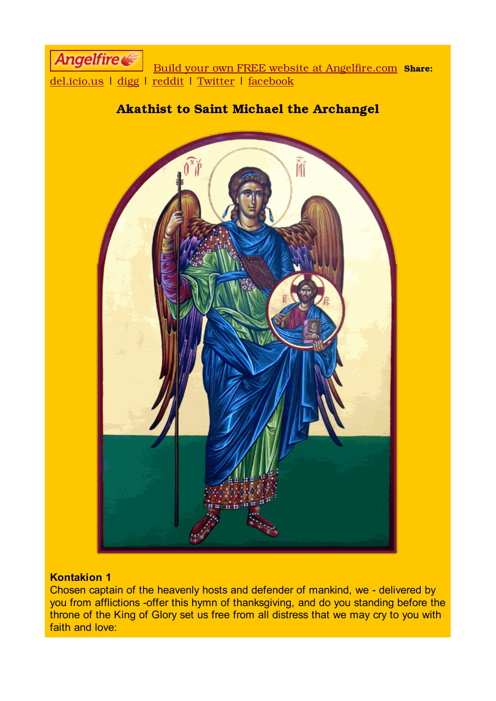

# Akathist to Saint Michael the Archangel



## **Kontakion 1**

Chosen captain of the heavenly hosts and defender of mankind, we - delivered by you from afflictions -offer this hymn of thanksgiving, and do you standing before the throne of the King of Glory set us free from all distress that we may cry to you with faith and love: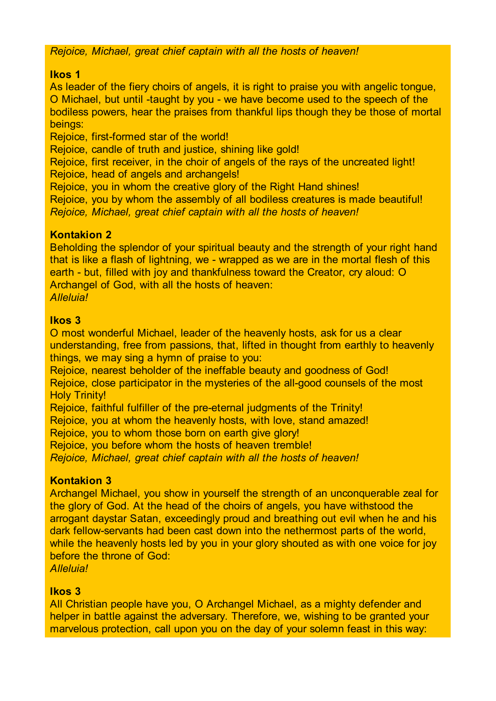*Rejoice, Michael, great chief captain with all the hosts of heaven!*

## **Ikos 1**

As leader of the fiery choirs of angels, it is right to praise you with angelic tongue, O Michael, but until -taught by you - we have become used to the speech of the bodiless powers, hear the praises from thankful lips though they be those of mortal beings:

Rejoice, first-formed star of the world!

Rejoice, candle of truth and justice, shining like gold!

Rejoice, first receiver, in the choir of angels of the rays of the uncreated light! Rejoice, head of angels and archangels!

Rejoice, you in whom the creative glory of the Right Hand shines!

Rejoice, you by whom the assembly of all bodiless creatures is made beautiful! *Rejoice, Michael, great chief captain with all the hosts of heaven!*

# **Kontakion 2**

Beholding the splendor of your spiritual beauty and the strength of your right hand that is like a flash of lightning, we - wrapped as we are in the mortal flesh of this earth - but, filled with joy and thankfulness toward the Creator, cry aloud: O Archangel of God, with all the hosts of heaven: *Alleluia!*

# **Ikos 3**

O most wonderful Michael, leader of the heavenly hosts, ask for us a clear understanding, free from passions, that, lifted in thought from earthly to heavenly things, we may sing a hymn of praise to you:

Rejoice, nearest beholder of the ineffable beauty and goodness of God! Rejoice, close participator in the mysteries of the all-good counsels of the most **Holy Trinity!** 

Rejoice, faithful fulfiller of the pre-eternal judgments of the Trinity!

Rejoice, you at whom the heavenly hosts, with love, stand amazed!

Rejoice, you to whom those born on earth give glory!

Rejoice, you before whom the hosts of heaven tremble!

*Rejoice, Michael, great chief captain with all the hosts of heaven!*

# **Kontakion 3**

Archangel Michael, you show in yourself the strength of an unconquerable zeal for the glory of God. At the head of the choirs of angels, you have withstood the arrogant daystar Satan, exceedingly proud and breathing out evil when he and his dark fellow-servants had been cast down into the nethermost parts of the world, while the heavenly hosts led by you in your glory shouted as with one voice for joy before the throne of God:

*Alleluia!*

# **Ikos 3**

All Christian people have you, O Archangel Michael, as a mighty defender and helper in battle against the adversary. Therefore, we, wishing to be granted your marvelous protection, call upon you on the day of your solemn feast in this way: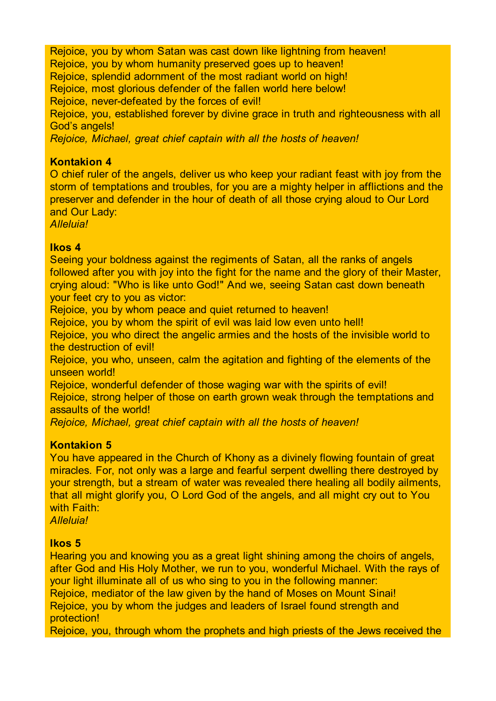Rejoice, you by whom Satan was cast down like lightning from heaven! Rejoice, you by whom humanity preserved goes up to heaven! Rejoice, splendid adornment of the most radiant world on high! Rejoice, most glorious defender of the fallen world here below! Rejoice, never-defeated by the forces of evil! Rejoice, you, established forever by divine grace in truth and righteousness with all God's angels! *Rejoice, Michael, great chief captain with all the hosts of heaven!*

## **Kontakion 4**

O chief ruler of the angels, deliver us who keep your radiant feast with joy from the storm of temptations and troubles, for you are a mighty helper in afflictions and the preserver and defender in the hour of death of all those crying aloud to Our Lord and Our Lady:

*Alleluia!*

## **Ikos 4**

Seeing your boldness against the regiments of Satan, all the ranks of angels followed after you with joy into the fight for the name and the glory of their Master, crying aloud: "Who is like unto God!" And we, seeing Satan cast down beneath your feet cry to you as victor:

Rejoice, you by whom peace and quiet returned to heaven!

Rejoice, you by whom the spirit of evil was laid low even unto hell!

Rejoice, you who direct the angelic armies and the hosts of the invisible world to the destruction of evil!

Rejoice, you who, unseen, calm the agitation and fighting of the elements of the unseen world!

Rejoice, wonderful defender of those waging war with the spirits of evil! Rejoice, strong helper of those on earth grown weak through the temptations and assaults of the world!

*Rejoice, Michael, great chief captain with all the hosts of heaven!*

# **Kontakion 5**

You have appeared in the Church of Khony as a divinely flowing fountain of great miracles. For, not only was a large and fearful serpent dwelling there destroyed by your strength, but a stream of water was revealed there healing all bodily ailments, that all might glorify you, O Lord God of the angels, and all might cry out to You with Faith:

*Alleluia!*

# **Ikos 5**

Hearing you and knowing you as a great light shining among the choirs of angels, after God and His Holy Mother, we run to you, wonderful Michael. With the rays of your light illuminate all of us who sing to you in the following manner: Rejoice, mediator of the law given by the hand of Moses on Mount Sinai!

Rejoice, you by whom the judges and leaders of Israel found strength and protection!

Rejoice, you, through whom the prophets and high priests of the Jews received the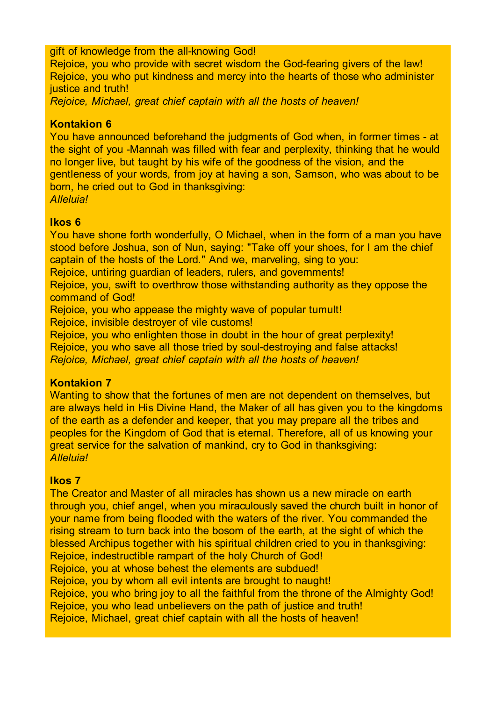## gift of knowledge from the all-knowing God!

Rejoice, you who provide with secret wisdom the God-fearing givers of the law! Rejoice, you who put kindness and mercy into the hearts of those who administer justice and truth!

*Rejoice, Michael, great chief captain with all the hosts of heaven!*

## **Kontakion 6**

You have announced beforehand the judgments of God when, in former times - at the sight of you -Mannah was filled with fear and perplexity, thinking that he would no longer live, but taught by his wife of the goodness of the vision, and the gentleness of your words, from joy at having a son, Samson, who was about to be born, he cried out to God in thanksgiving: *Alleluia!*

#### **Ikos 6**

You have shone forth wonderfully, O Michael, when in the form of a man you have stood before Joshua, son of Nun, saying: "Take off your shoes, for I am the chief captain of the hosts of the Lord." And we, marveling, sing to you:

Rejoice, untiring guardian of leaders, rulers, and governments!

Rejoice, you, swift to overthrow those withstanding authority as they oppose the command of God!

Rejoice, you who appease the mighty wave of popular tumult!

Rejoice, invisible destroyer of vile customs!

Rejoice, you who enlighten those in doubt in the hour of great perplexity!

Rejoice, you who save all those tried by soul-destroying and false attacks!

*Rejoice, Michael, great chief captain with all the hosts of heaven!*

## **Kontakion 7**

Wanting to show that the fortunes of men are not dependent on themselves, but are always held in His Divine Hand, the Maker of all has given you to the kingdoms of the earth as a defender and keeper, that you may prepare all the tribes and peoples for the Kingdom of God that is eternal. Therefore, all of us knowing your great service for the salvation of mankind, cry to God in thanksgiving: *Alleluia!*

## **Ikos 7**

The Creator and Master of all miracles has shown us a new miracle on earth through you, chief angel, when you miraculously saved the church built in honor of your name from being flooded with the waters of the river. You commanded the rising stream to turn back into the bosom of the earth, at the sight of which the blessed Archipus together with his spiritual children cried to you in thanksgiving: Rejoice, indestructible rampart of the holy Church of God! Rejoice, you at whose behest the elements are subdued! Rejoice, you by whom all evil intents are brought to naught! Rejoice, you who bring joy to all the faithful from the throne of the Almighty God! Rejoice, you who lead unbelievers on the path of justice and truth! Rejoice, Michael, great chief captain with all the hosts of heaven!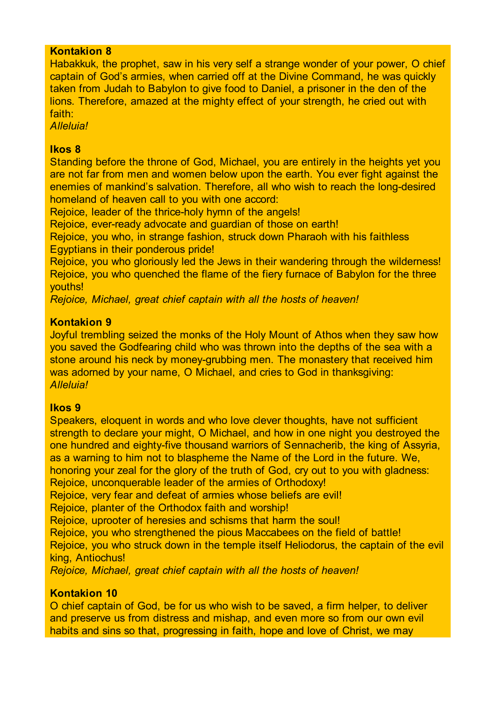## **Kontakion 8**

Habakkuk, the prophet, saw in his very self a strange wonder of your power, O chief captain of God's armies, when carried off at the Divine Command, he was quickly taken from Judah to Babylon to give food to Daniel, a prisoner in the den of the lions. Therefore, amazed at the mighty effect of your strength, he cried out with faith:

*Alleluia!*

#### **Ikos 8**

Standing before the throne of God, Michael, you are entirely in the heights yet you are not far from men and women below upon the earth. You ever fight against the enemies of mankind's salvation. Therefore, all who wish to reach the long-desired homeland of heaven call to you with one accord:

Rejoice, leader of the thrice-holy hymn of the angels!

Rejoice, ever-ready advocate and guardian of those on earth!

Rejoice, you who, in strange fashion, struck down Pharaoh with his faithless Egyptians in their ponderous pride!

Rejoice, you who gloriously led the Jews in their wandering through the wilderness! Rejoice, you who quenched the flame of the fiery furnace of Babylon for the three youths!

*Rejoice, Michael, great chief captain with all the hosts of heaven!*

#### **Kontakion 9**

Joyful trembling seized the monks of the Holy Mount of Athos when they saw how you saved the Godfearing child who was thrown into the depths of the sea with a stone around his neck by money-grubbing men. The monastery that received him was adorned by your name, O Michael, and cries to God in thanksgiving: *Alleluia!*

## **Ikos 9**

Speakers, eloquent in words and who love clever thoughts, have not sufficient strength to declare your might, O Michael, and how in one night you destroyed the one hundred and eighty-five thousand warriors of Sennacherib, the king of Assyria, as a warning to him not to blaspheme the Name of the Lord in the future. We, honoring your zeal for the glory of the truth of God, cry out to you with gladness: Rejoice, unconquerable leader of the armies of Orthodoxy!

Rejoice, very fear and defeat of armies whose beliefs are evil!

Rejoice, planter of the Orthodox faith and worship!

Rejoice, uprooter of heresies and schisms that harm the soul!

Rejoice, you who strengthened the pious Maccabees on the field of battle!

Rejoice, you who struck down in the temple itself Heliodorus, the captain of the evil king, Antiochus!

*Rejoice, Michael, great chief captain with all the hosts of heaven!*

## **Kontakion 10**

O chief captain of God, be for us who wish to be saved, a firm helper, to deliver and preserve us from distress and mishap, and even more so from our own evil habits and sins so that, progressing in faith, hope and love of Christ, we may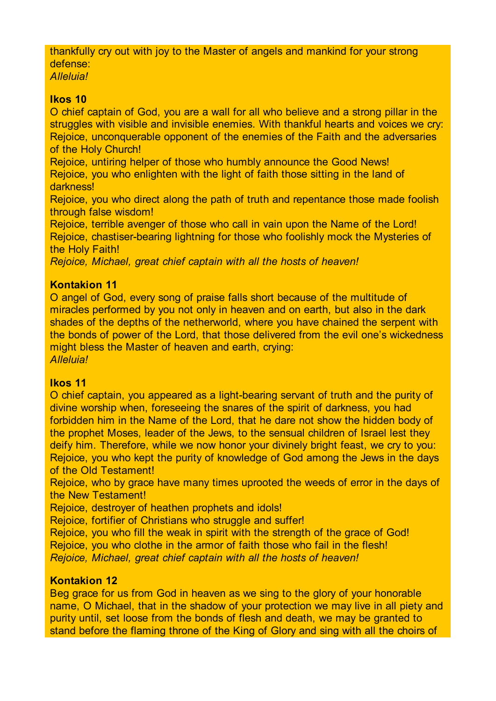thankfully cry out with joy to the Master of angels and mankind for your strong defense:

*Alleluia!*

## **Ikos 10**

O chief captain of God, you are a wall for all who believe and a strong pillar in the struggles with visible and invisible enemies. With thankful hearts and voices we cry: Rejoice, unconquerable opponent of the enemies of the Faith and the adversaries of the Holy Church!

Rejoice, untiring helper of those who humbly announce the Good News! Rejoice, you who enlighten with the light of faith those sitting in the land of darkness!

Rejoice, you who direct along the path of truth and repentance those made foolish through false wisdom!

Rejoice, terrible avenger of those who call in vain upon the Name of the Lord! Rejoice, chastiser-bearing lightning for those who foolishly mock the Mysteries of the Holy Faith!

*Rejoice, Michael, great chief captain with all the hosts of heaven!*

# **Kontakion 11**

O angel of God, every song of praise falls short because of the multitude of miracles performed by you not only in heaven and on earth, but also in the dark shades of the depths of the netherworld, where you have chained the serpent with the bonds of power of the Lord, that those delivered from the evil one's wickedness might bless the Master of heaven and earth, crying: *Alleluia!*

## **Ikos 11**

O chief captain, you appeared as a light-bearing servant of truth and the purity of divine worship when, foreseeing the snares of the spirit of darkness, you had forbidden him in the Name of the Lord, that he dare not show the hidden body of the prophet Moses, leader of the Jews, to the sensual children of Israel lest they deify him. Therefore, while we now honor your divinely bright feast, we cry to you: Rejoice, you who kept the purity of knowledge of God among the Jews in the days of the Old Testament!

Rejoice, who by grace have many times uprooted the weeds of error in the days of the New Testament!

Rejoice, destroyer of heathen prophets and idols!

Rejoice, fortifier of Christians who struggle and suffer!

Rejoice, you who fill the weak in spirit with the strength of the grace of God! Rejoice, you who clothe in the armor of faith those who fail in the flesh!

*Rejoice, Michael, great chief captain with all the hosts of heaven!*

# **Kontakion 12**

Beg grace for us from God in heaven as we sing to the glory of your honorable name, O Michael, that in the shadow of your protection we may live in all piety and purity until, set loose from the bonds of flesh and death, we may be granted to stand before the flaming throne of the King of Glory and sing with all the choirs of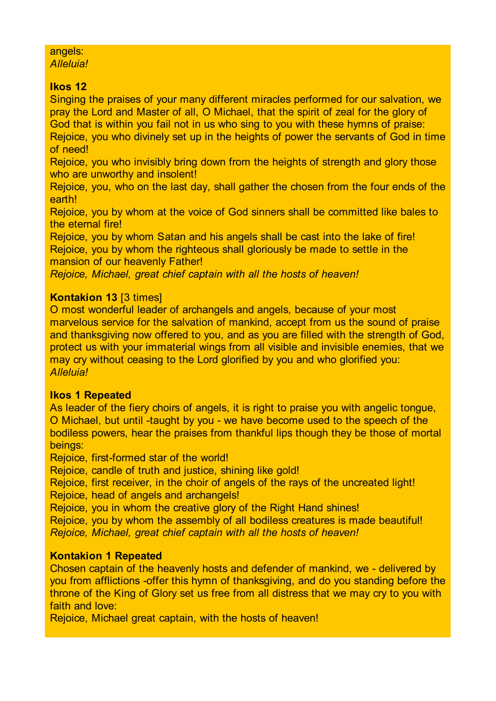# angels:

*Alleluia!*

# **Ikos 12**

Singing the praises of your many different miracles performed for our salvation, we pray the Lord and Master of all, O Michael, that the spirit of zeal for the glory of God that is within you fail not in us who sing to you with these hymns of praise: Rejoice, you who divinely set up in the heights of power the servants of God in time of need!

Rejoice, you who invisibly bring down from the heights of strength and glory those who are unworthy and insolent!

Rejoice, you, who on the last day, shall gather the chosen from the four ends of the earth!

Rejoice, you by whom at the voice of God sinners shall be committed like bales to the eternal fire!

Rejoice, you by whom Satan and his angels shall be cast into the lake of fire! Rejoice, you by whom the righteous shall gloriously be made to settle in the mansion of our heavenly Father!

*Rejoice, Michael, great chief captain with all the hosts of heaven!*

# **Kontakion 13** [3 times]

O most wonderful leader of archangels and angels, because of your most marvelous service for the salvation of mankind, accept from us the sound of praise and thanksgiving now offered to you, and as you are filled with the strength of God, protect us with your immaterial wings from all visible and invisible enemies, that we may cry without ceasing to the Lord glorified by you and who glorified you: *Alleluia!*

# **Ikos 1 Repeated**

As leader of the fiery choirs of angels, it is right to praise you with angelic tongue, O Michael, but until -taught by you - we have become used to the speech of the bodiless powers, hear the praises from thankful lips though they be those of mortal beings:

Rejoice, first-formed star of the world!

Rejoice, candle of truth and justice, shining like gold!

Rejoice, first receiver, in the choir of angels of the rays of the uncreated light! Rejoice, head of angels and archangels!

Rejoice, you in whom the creative glory of the Right Hand shines!

Rejoice, you by whom the assembly of all bodiless creatures is made beautiful! *Rejoice, Michael, great chief captain with all the hosts of heaven!*

# **Kontakion 1 Repeated**

Chosen captain of the heavenly hosts and defender of mankind, we - delivered by you from afflictions -offer this hymn of thanksgiving, and do you standing before the throne of the King of Glory set us free from all distress that we may cry to you with faith and love:

Rejoice, Michael great captain, with the hosts of heaven!